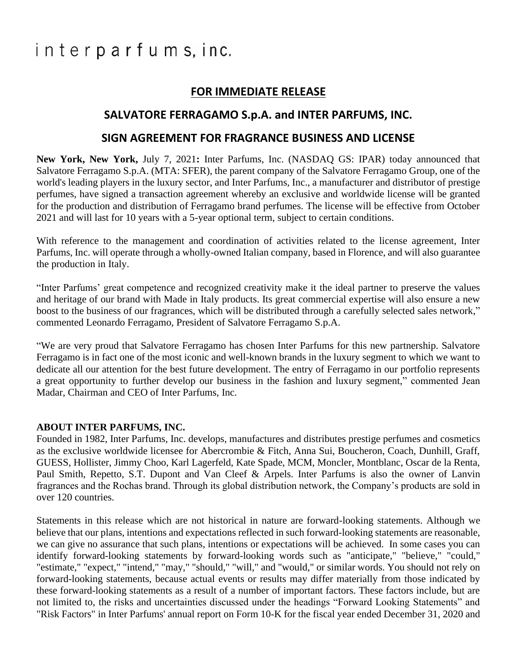# interparfums, inc.

## **FOR IMMEDIATE RELEASE**

### **SALVATORE FERRAGAMO S.p.A. and INTER PARFUMS, INC.**

#### **SIGN AGREEMENT FOR FRAGRANCE BUSINESS AND LICENSE**

**New York, New York,** July 7, 2021**:** Inter Parfums, Inc. (NASDAQ GS: IPAR) today announced that Salvatore Ferragamo S.p.A. (MTA: SFER), the parent company of the Salvatore Ferragamo Group, one of the world's leading players in the luxury sector, and Inter Parfums, Inc., a manufacturer and distributor of prestige perfumes, have signed a transaction agreement whereby an exclusive and worldwide license will be granted for the production and distribution of Ferragamo brand perfumes. The license will be effective from October 2021 and will last for 10 years with a 5-year optional term, subject to certain conditions.

With reference to the management and coordination of activities related to the license agreement, Inter Parfums, Inc. will operate through a wholly-owned Italian company, based in Florence, and will also guarantee the production in Italy.

"Inter Parfums' great competence and recognized creativity make it the ideal partner to preserve the values and heritage of our brand with Made in Italy products. Its great commercial expertise will also ensure a new boost to the business of our fragrances, which will be distributed through a carefully selected sales network," commented Leonardo Ferragamo, President of Salvatore Ferragamo S.p.A.

"We are very proud that Salvatore Ferragamo has chosen Inter Parfums for this new partnership. Salvatore Ferragamo is in fact one of the most iconic and well-known brands in the luxury segment to which we want to dedicate all our attention for the best future development. The entry of Ferragamo in our portfolio represents a great opportunity to further develop our business in the fashion and luxury segment," commented Jean Madar, Chairman and CEO of Inter Parfums, Inc.

#### **ABOUT INTER PARFUMS, INC.**

Founded in 1982, Inter Parfums, Inc. develops, manufactures and distributes prestige perfumes and cosmetics as the exclusive worldwide licensee for Abercrombie & Fitch, Anna Sui, Boucheron, Coach, Dunhill, Graff, GUESS, Hollister, Jimmy Choo, Karl Lagerfeld, Kate Spade, MCM, Moncler, Montblanc, Oscar de la Renta, Paul Smith, Repetto, S.T. Dupont and Van Cleef & Arpels. Inter Parfums is also the owner of Lanvin fragrances and the Rochas brand. Through its global distribution network, the Company's products are sold in over 120 countries.

Statements in this release which are not historical in nature are forward-looking statements. Although we believe that our plans, intentions and expectations reflected in such forward-looking statements are reasonable, we can give no assurance that such plans, intentions or expectations will be achieved. In some cases you can identify forward-looking statements by forward-looking words such as "anticipate," "believe," "could," "estimate," "expect," "intend," "may," "should," "will," and "would," or similar words. You should not rely on forward-looking statements, because actual events or results may differ materially from those indicated by these forward-looking statements as a result of a number of important factors. These factors include, but are not limited to, the risks and uncertainties discussed under the headings "Forward Looking Statements" and "Risk Factors" in Inter Parfums' annual report on Form 10-K for the fiscal year ended December 31, 2020 and